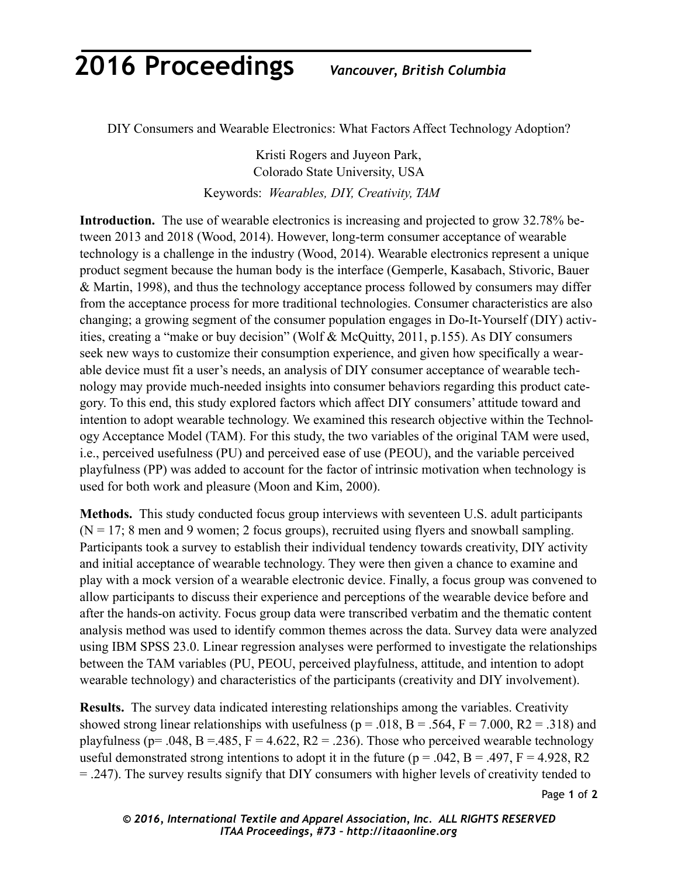## **2016 Proceedings** *Vancouver, British Columbia*

DIY Consumers and Wearable Electronics: What Factors Affect Technology Adoption?

Kristi Rogers and Juyeon Park, Colorado State University, USA Keywords: *Wearables, DIY, Creativity, TAM*

**Introduction.** The use of wearable electronics is increasing and projected to grow 32.78% between 2013 and 2018 (Wood, 2014). However, long-term consumer acceptance of wearable technology is a challenge in the industry (Wood, 2014). Wearable electronics represent a unique product segment because the human body is the interface (Gemperle, Kasabach, Stivoric, Bauer & Martin, 1998), and thus the technology acceptance process followed by consumers may differ from the acceptance process for more traditional technologies. Consumer characteristics are also changing; a growing segment of the consumer population engages in Do-It-Yourself (DIY) activities, creating a "make or buy decision" (Wolf & McQuitty, 2011, p.155). As DIY consumers seek new ways to customize their consumption experience, and given how specifically a wearable device must fit a user's needs, an analysis of DIY consumer acceptance of wearable technology may provide much-needed insights into consumer behaviors regarding this product category. To this end, this study explored factors which affect DIY consumers' attitude toward and intention to adopt wearable technology. We examined this research objective within the Technology Acceptance Model (TAM). For this study, the two variables of the original TAM were used, i.e., perceived usefulness (PU) and perceived ease of use (PEOU), and the variable perceived playfulness (PP) was added to account for the factor of intrinsic motivation when technology is used for both work and pleasure (Moon and Kim, 2000).

**Methods.** This study conducted focus group interviews with seventeen U.S. adult participants  $(N = 17; 8 \text{ men and } 9 \text{ women}; 2 \text{ focus groups})$ , recruited using flyers and snowball sampling. Participants took a survey to establish their individual tendency towards creativity, DIY activity and initial acceptance of wearable technology. They were then given a chance to examine and play with a mock version of a wearable electronic device. Finally, a focus group was convened to allow participants to discuss their experience and perceptions of the wearable device before and after the hands-on activity. Focus group data were transcribed verbatim and the thematic content analysis method was used to identify common themes across the data. Survey data were analyzed using IBM SPSS 23.0. Linear regression analyses were performed to investigate the relationships between the TAM variables (PU, PEOU, perceived playfulness, attitude, and intention to adopt wearable technology) and characteristics of the participants (creativity and DIY involvement).

**Results.** The survey data indicated interesting relationships among the variables. Creativity showed strong linear relationships with usefulness ( $p = .018$ ,  $B = .564$ ,  $F = 7.000$ ,  $R2 = .318$ ) and playfulness (p= .048, B = .485, F = 4.622, R2 = .236). Those who perceived wearable technology useful demonstrated strong intentions to adopt it in the future ( $p = .042$ ,  $B = .497$ ,  $F = 4.928$ , R2 = .247). The survey results signify that DIY consumers with higher levels of creativity tended to